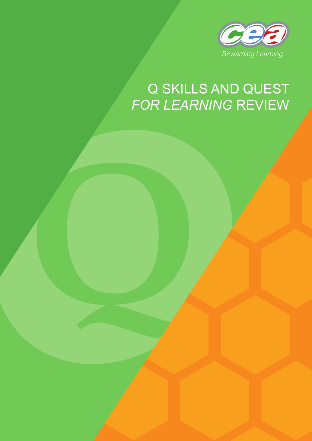

# Q SKILLS AND QUEST *FOR LEARNING* REVIEW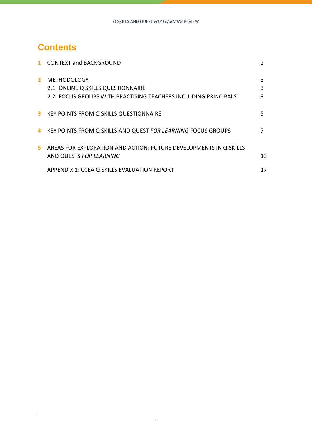# **Contents**

|              | <b>CONTEXT and BACKGROUND</b>                                                                |        |
|--------------|----------------------------------------------------------------------------------------------|--------|
| $\mathbf{2}$ | <b>METHODOLOGY</b><br>2.1 ONLINE Q SKILLS QUESTIONNAIRE                                      | 3<br>3 |
|              | 2.2 FOCUS GROUPS WITH PRACTISING TEACHERS INCLUDING PRINCIPALS                               |        |
| 3            | KEY POINTS FROM Q SKILLS QUESTIONNAIRE                                                       | 5      |
| 4            | KEY POINTS FROM Q SKILLS AND QUEST FOR LEARNING FOCUS GROUPS                                 |        |
| 5.           | AREAS FOR EXPLORATION AND ACTION: FUTURE DEVELOPMENTS IN Q SKILLS<br>AND QUESTS FOR LEARNING | 13     |
|              | APPENDIX 1: CCEA Q SKILLS EVALUATION REPORT                                                  | 17     |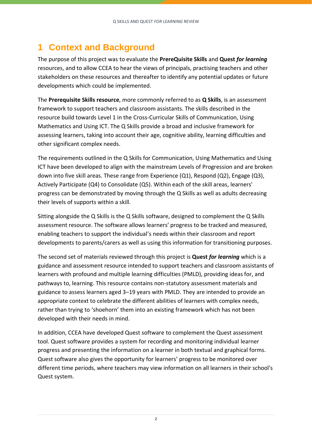# **1 Context and Background**

The purpose of this project was to evaluate the **PrereQuisite Skills** and **Quest** *for learning* resources, and to allow CCEA to hear the views of principals, practising teachers and other stakeholders on these resources and thereafter to identify any potential updates or future developments which could be implemented.

The **Prerequisite Skills resource**, more commonly referred to as **Q Skills**, is an assessment framework to support teachers and classroom assistants. The skills described in the resource build towards Level 1 in the Cross-Curricular Skills of Communication, Using Mathematics and Using ICT. The Q Skills provide a broad and inclusive framework for assessing learners, taking into account their age, cognitive ability, learning difficulties and other significant complex needs.

The requirements outlined in the Q Skills for Communication, Using Mathematics and Using ICT have been developed to align with the mainstream Levels of Progression and are broken down into five skill areas. These range from Experience (Q1), Respond (Q2), Engage (Q3), Actively Participate (Q4) to Consolidate (Q5). Within each of the skill areas, learners' progress can be demonstrated by moving through the Q Skills as well as adults decreasing their levels of supports within a skill.

Sitting alongside the Q Skills is the [Q Skills software,](https://qskills.ccea.org.uk/) designed to complement the Q Skills assessment resource. The software allows learners' progress to be tracked and measured, enabling teachers to support the individual's needs within their classroom and report developments to parents/carers as well as using this information for transitioning purposes.

The second set of materials reviewed through this project is **Quest** *for learning* which is a guidance and assessment resource intended to support teachers and classroom assistants of learners with profound and multiple learning difficulties (PMLD), providing ideas for, and pathways to, learning. This resource contains non-statutory assessment materials and guidance to assess learners aged 3–19 years with PMLD. They are intended to provide an appropriate context to celebrate the different abilities of learners with complex needs, rather than trying to 'shoehorn' them into an existing framework which has not been developed with their needs in mind.

In addition, CCEA have developed Quest software to complement the Quest assessment tool. Quest software provides a system for recording and monitoring individual learner progress and presenting the information on a learner in both textual and graphical forms. Quest software also gives the opportunity for learners' progress to be monitored over different time periods, where teachers may view information on all learners in their school's Quest system.

2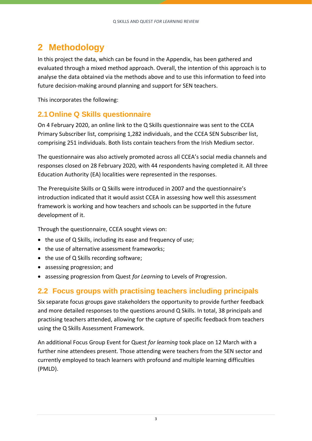# **2 Methodology**

In this project the data, which can be found in the Appendix, has been gathered and evaluated through a mixed method approach. Overall, the intention of this approach is to analyse the data obtained via the methods above and to use this information to feed into future decision-making around planning and support for SEN teachers.

This incorporates the following:

### **2.1Online Q Skills questionnaire**

On 4 February 2020, an online link to the Q Skills questionnaire was sent to the CCEA Primary Subscriber list, comprising 1,282 individuals, and the CCEA SEN Subscriber list, comprising 251 individuals. Both lists contain teachers from the Irish Medium sector.

The questionnaire was also actively promoted across all CCEA's social media channels and responses closed on 28 February 2020, with 44 respondents having completed it. All three Education Authority (EA) localities were represented in the responses.

The Prerequisite Skills or Q Skills were introduced in 2007 and the questionnaire's introduction indicated that it would assist CCEA in assessing how well this assessment framework is working and how teachers and schools can be supported in the future development of it.

Through the questionnaire, CCEA sought views on:

- the use of Q Skills, including its ease and frequency of use;
- the use of alternative assessment frameworks;
- the use of Q Skills recording software;
- assessing progression; and
- assessing progression from Quest *for Learning* to Levels of Progression.

### **2.2 Focus groups with practising teachers including principals**

Six separate focus groups gave stakeholders the opportunity to provide further feedback and more detailed responses to the questions around Q Skills. In total, 38 principals and practising teachers attended, allowing for the capture of specific feedback from teachers using the Q Skills Assessment Framework.

An additional Focus Group Event for Quest *for learning* took place on 12 March with a further nine attendees present. Those attending were teachers from the SEN sector and currently employed to teach learners with profound and multiple learning difficulties (PMLD).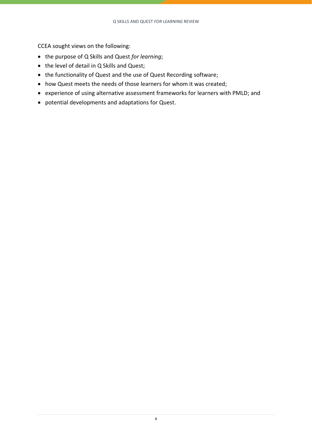CCEA sought views on the following:

- the purpose of Q Skills and Quest *for learning*;
- the level of detail in Q Skills and Quest;
- the functionality of Quest and the use of Quest Recording software;
- how Quest meets the needs of those learners for whom it was created;
- experience of using alternative assessment frameworks for learners with PMLD; and
- potential developments and adaptations for Quest.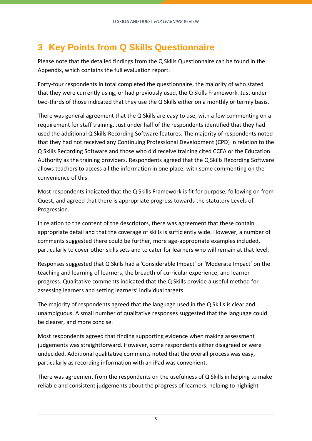# **3 Key Points from Q Skills Questionnaire**

Please note that the detailed findings from the Q Skills Questionnaire can be found in the Appendix, which contains the full evaluation report.

Forty-four respondents in total completed the questionnaire, the majority of who stated that they were currently using, or had previously used, the Q Skills Framework. Just under two-thirds of those indicated that they use the Q Skills either on a monthly or termly basis.

There was general agreement that the Q Skills are easy to use, with a few commenting on a requirement for staff training. Just under half of the respondents identified that they had used the additional Q Skills Recording Software features. The majority of respondents noted that they had not received any Continuing Professional Development (CPD) in relation to the Q Skills Recording Software and those who did receive training cited CCEA or the Education Authority as the training providers. Respondents agreed that the Q Skills Recording Software allows teachers to access all the information in one place, with some commenting on the convenience of this.

Most respondents indicated that the Q Skills Framework is fit for purpose, following on from Quest, and agreed that there is appropriate progress towards the statutory Levels of Progression.

In relation to the content of the descriptors, there was agreement that these contain appropriate detail and that the coverage of skills is sufficiently wide. However, a number of comments suggested there could be further, more age-appropriate examples included, particularly to cover other skills sets and to cater for learners who will remain at that level.

Responses suggested that Q Skills had a 'Considerable Impact' or 'Moderate Impact' on the teaching and learning of learners, the breadth of curricular experience, and learner progress. Qualitative comments indicated that the Q Skills provide a useful method for assessing learners and setting learners' individual targets.

The majority of respondents agreed that the language used in the Q Skills is clear and unambiguous. A small number of qualitative responses suggested that the language could be clearer, and more concise.

Most respondents agreed that finding supporting evidence when making assessment judgements was straightforward. However, some respondents either disagreed or were undecided. Additional qualitative comments noted that the overall process was easy, particularly as recording information with an iPad was convenient.

There was agreement from the respondents on the usefulness of Q Skills in helping to make reliable and consistent judgements about the progress of learners; helping to highlight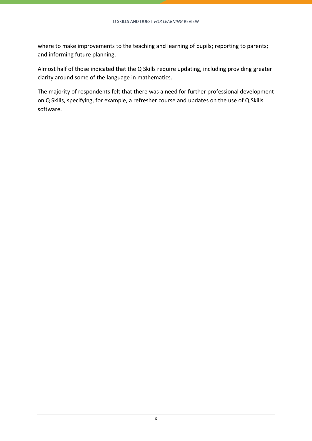where to make improvements to the teaching and learning of pupils; reporting to parents; and informing future planning.

Almost half of those indicated that the Q Skills require updating, including providing greater clarity around some of the language in mathematics.

The majority of respondents felt that there was a need for further professional development on Q Skills, specifying, for example, a refresher course and updates on the use of Q Skills software.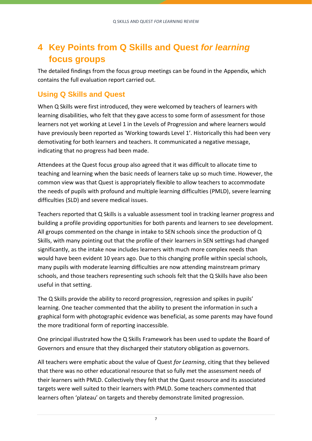# **4 Key Points from Q Skills and Quest** *for learning* **focus groups**

The detailed findings from the focus group meetings can be found in the Appendix, which contains the full evaluation report carried out.

### **Using Q Skills and Quest**

When Q Skills were first introduced, they were welcomed by teachers of learners with learning disabilities, who felt that they gave access to some form of assessment for those learners not yet working at Level 1 in the Levels of Progression and where learners would have previously been reported as 'Working towards Level 1'. Historically this had been very demotivating for both learners and teachers. It communicated a negative message, indicating that no progress had been made.

Attendees at the Quest focus group also agreed that it was difficult to allocate time to teaching and learning when the basic needs of learners take up so much time. However, the common view was that Quest is appropriately flexible to allow teachers to accommodate the needs of pupils with profound and multiple learning difficulties (PMLD), severe learning difficulties (SLD) and severe medical issues.

Teachers reported that Q Skills is a valuable assessment tool in tracking learner progress and building a profile providing opportunities for both parents and learners to see development. All groups commented on the change in intake to SEN schools since the production of Q Skills, with many pointing out that the profile of their learners in SEN settings had changed significantly, as the intake now includes learners with much more complex needs than would have been evident 10 years ago. Due to this changing profile within special schools, many pupils with moderate learning difficulties are now attending mainstream primary schools, and those teachers representing such schools felt that the Q Skills have also been useful in that setting.

The Q Skills provide the ability to record progression, regression and spikes in pupils' learning. One teacher commented that the ability to present the information in such a graphical form with photographic evidence was beneficial, as some parents may have found the more traditional form of reporting inaccessible.

One principal illustrated how the Q Skills Framework has been used to update the Board of Governors and ensure that they discharged their statutory obligation as governors.

All teachers were emphatic about the value of Quest *for Learning*, citing that they believed that there was no other educational resource that so fully met the assessment needs of their learners with PMLD. Collectively they felt that the Quest resource and its associated targets were well suited to their learners with PMLD. Some teachers commented that learners often 'plateau' on targets and thereby demonstrate limited progression.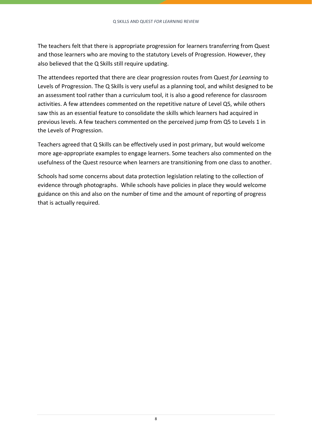The teachers felt that there is appropriate progression for learners transferring from Quest and those learners who are moving to the statutory Levels of Progression. However, they also believed that the Q Skills still require updating.

The attendees reported that there are clear progression routes from Quest *for Learning* to Levels of Progression. The Q Skills is very useful as a planning tool, and whilst designed to be an assessment tool rather than a curriculum tool, it is also a good reference for classroom activities. A few attendees commented on the repetitive nature of Level Q5, while others saw this as an essential feature to consolidate the skills which learners had acquired in previous levels. A few teachers commented on the perceived jump from Q5 to Levels 1 in the Levels of Progression.

Teachers agreed that Q Skills can be effectively used in post primary, but would welcome more age-appropriate examples to engage learners. Some teachers also commented on the usefulness of the Quest resource when learners are transitioning from one class to another.

Schools had some concerns about data protection legislation relating to the collection of evidence through photographs. While schools have policies in place they would welcome guidance on this and also on the number of time and the amount of reporting of progress that is actually required.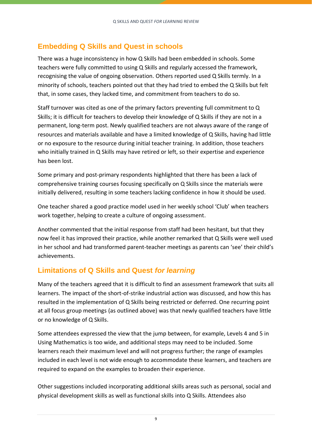### **Embedding Q Skills and Quest in schools**

There was a huge inconsistency in how Q Skills had been embedded in schools. Some teachers were fully committed to using Q Skills and regularly accessed the framework, recognising the value of ongoing observation. Others reported used Q Skills termly. In a minority of schools, teachers pointed out that they had tried to embed the Q Skills but felt that, in some cases, they lacked time, and commitment from teachers to do so.

Staff turnover was cited as one of the primary factors preventing full commitment to Q Skills; it is difficult for teachers to develop their knowledge of Q Skills if they are not in a permanent, long-term post. Newly qualified teachers are not always aware of the range of resources and materials available and have a limited knowledge of Q Skills, having had little or no exposure to the resource during initial teacher training. In addition, those teachers who initially trained in Q Skills may have retired or left, so their expertise and experience has been lost.

Some primary and post-primary respondents highlighted that there has been a lack of comprehensive training courses focusing specifically on Q Skills since the materials were initially delivered, resulting in some teachers lacking confidence in how it should be used.

One teacher shared a good practice model used in her weekly school 'Club' when teachers work together, helping to create a culture of ongoing assessment.

Another commented that the initial response from staff had been hesitant, but that they now feel it has improved their practice, while another remarked that Q Skills were well used in her school and had transformed parent-teacher meetings as parents can 'see' their child's achievements.

### **Limitations of Q Skills and Quest** *for learning*

Many of the teachers agreed that it is difficult to find an assessment framework that suits all learners. The impact of the short-of-strike industrial action was discussed, and how this has resulted in the implementation of Q Skills being restricted or deferred. One recurring point at all focus group meetings (as outlined above) was that newly qualified teachers have little or no knowledge of Q Skills.

Some attendees expressed the view that the jump between, for example, Levels 4 and 5 in Using Mathematics is too wide, and additional steps may need to be included. Some learners reach their maximum level and will not progress further; the range of examples included in each level is not wide enough to accommodate these learners, and teachers are required to expand on the examples to broaden their experience.

Other suggestions included incorporating additional skills areas such as personal, social and physical development skills as well as functional skills into Q Skills. Attendees also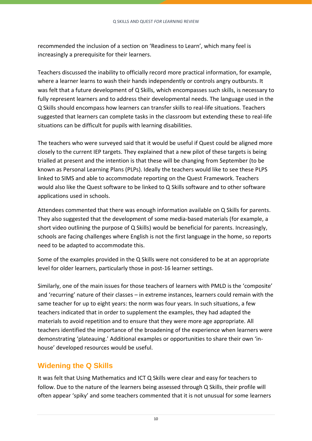recommended the inclusion of a section on 'Readiness to Learn', which many feel is increasingly a prerequisite for their learners.

Teachers discussed the inability to officially record more practical information, for example, where a learner learns to wash their hands independently or controls angry outbursts. It was felt that a future development of Q Skills, which encompasses such skills, is necessary to fully represent learners and to address their developmental needs. The language used in the Q Skills should encompass how learners can transfer skills to real-life situations. Teachers suggested that learners can complete tasks in the classroom but extending these to real-life situations can be difficult for pupils with learning disabilities.

The teachers who were surveyed said that it would be useful if Quest could be aligned more closely to the current IEP targets. They explained that a new pilot of these targets is being trialled at present and the intention is that these will be changing from September (to be known as Personal Learning Plans (PLPs). Ideally the teachers would like to see these PLPS linked to SIMS and able to accommodate reporting on the Quest Framework. Teachers would also like the Quest software to be linked to Q Skills software and to other software applications used in schools.

Attendees commented that there was enough information available on Q Skills for parents. They also suggested that the development of some media-based materials (for example, a short video outlining the purpose of Q Skills) would be beneficial for parents. Increasingly, schools are facing challenges where English is not the first language in the home, so reports need to be adapted to accommodate this.

Some of the examples provided in the Q Skills were not considered to be at an appropriate level for older learners, particularly those in post-16 learner settings.

Similarly, one of the main issues for those teachers of learners with PMLD is the 'composite' and 'recurring' nature of their classes – in extreme instances, learners could remain with the same teacher for up to eight years: the norm was four years. In such situations, a few teachers indicated that in order to supplement the examples, they had adapted the materials to avoid repetition and to ensure that they were more age appropriate. All teachers identified the importance of the broadening of the experience when learners were demonstrating 'plateauing.' Additional examples or opportunities to share their own 'inhouse' developed resources would be useful.

### **Widening the Q Skills**

It was felt that Using Mathematics and ICT Q Skills were clear and easy for teachers to follow. Due to the nature of the learners being assessed through Q Skills, their profile will often appear 'spiky' and some teachers commented that it is not unusual for some learners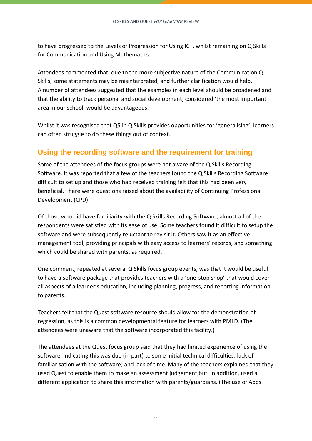to have progressed to the Levels of Progression for Using ICT, whilst remaining on Q Skills for Communication and Using Mathematics.

Attendees commented that, due to the more subjective nature of the Communication Q Skills, some statements may be misinterpreted, and further clarification would help. A number of attendees suggested that the examples in each level should be broadened and that the ability to track personal and social development, considered 'the most important area in our school' would be advantageous.

Whilst it was recognised that Q5 in Q Skills provides opportunities for 'generalising', learners can often struggle to do these things out of context.

### **Using the recording software and the requirement for training**

Some of the attendees of the focus groups were not aware of the Q Skills Recording Software. It was reported that a few of the teachers found the Q Skills Recording Software difficult to set up and those who had received training felt that this had been very beneficial. There were questions raised about the availability of Continuing Professional Development (CPD).

Of those who did have familiarity with the Q Skills Recording Software, almost all of the respondents were satisfied with its ease of use. Some teachers found it difficult to setup the software and were subsequently reluctant to revisit it. Others saw it as an effective management tool, providing principals with easy access to learners' records, and something which could be shared with parents, as required.

One comment, repeated at several Q Skills focus group events, was that it would be useful to have a software package that provides teachers with a 'one-stop shop' that would cover all aspects of a learner's education, including planning, progress, and reporting information to parents.

Teachers felt that the Quest software resource should allow for the demonstration of regression, as this is a common developmental feature for learners with PMLD. (The attendees were unaware that the software incorporated this facility.)

The attendees at the Quest focus group said that they had limited experience of using the software, indicating this was due (in part) to some initial technical difficulties; lack of familiarisation with the software; and lack of time. Many of the teachers explained that they used Quest to enable them to make an assessment judgement but, in addition, used a different application to share this information with parents/guardians. (The use of Apps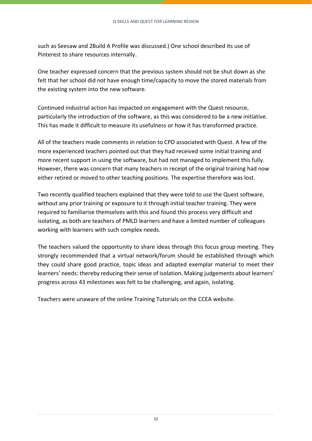such as Seesaw and 2Build A Profile was discussed.) One school described its use of Pinterest to share resources internally.

One teacher expressed concern that the previous system should not be shut down as she felt that her school did not have enough time/capacity to move the stored materials from the existing system into the new software.

Continued industrial action has impacted on engagement with the Quest resource, particularly the introduction of the software, as this was considered to be a new initiative. This has made it difficult to measure its usefulness or how it has transformed practice.

All of the teachers made comments in relation to CPD associated with Quest. A few of the more experienced teachers pointed out that they had received some initial training and more recent support in using the software, but had not managed to implement this fully. However, there was concern that many teachers in receipt of the original training had now either retired or moved to other teaching positions. The expertise therefore was lost.

Two recently qualified teachers explained that they were told to use the Quest software, without any prior training or exposure to it through initial teacher training. They were required to familiarise themselves with this and found this process very difficult and isolating, as both are teachers of PMLD learners and have a limited number of colleagues working with learners with such complex needs.

The teachers valued the opportunity to share ideas through this focus group meeting. They strongly recommended that a virtual network/forum should be established through which they could share good practice, topic ideas and adapted exemplar material to meet their learners' needs: thereby reducing their sense of isolation. Making judgements about learners' progress across 43 milestones was felt to be challenging, and again, isolating.

Teachers were unaware of the online Training Tutorials on the CCEA website.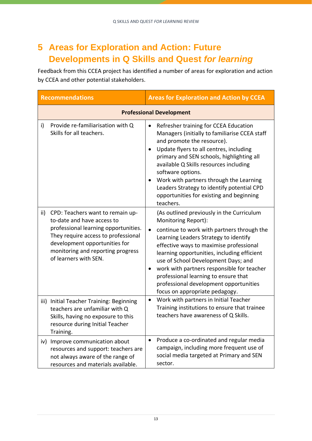# **5 Areas for Exploration and Action: Future Developments in Q Skills and Quest** *for learning*

Feedback from this CCEA project has identified a number of areas for exploration and action by CCEA and other potential stakeholders.

| <b>Recommendations</b> |                                                                                                                                                                                                                                              | <b>Areas for Exploration and Action by CCEA</b>                                                                                                                                                                                                                                                                                                                                                                                                            |  |
|------------------------|----------------------------------------------------------------------------------------------------------------------------------------------------------------------------------------------------------------------------------------------|------------------------------------------------------------------------------------------------------------------------------------------------------------------------------------------------------------------------------------------------------------------------------------------------------------------------------------------------------------------------------------------------------------------------------------------------------------|--|
|                        | <b>Professional Development</b>                                                                                                                                                                                                              |                                                                                                                                                                                                                                                                                                                                                                                                                                                            |  |
| i)                     | Provide re-familiarisation with Q<br>Skills for all teachers.                                                                                                                                                                                | Refresher training for CCEA Education<br>Managers (initially to familiarise CCEA staff<br>and promote the resource).<br>Update flyers to all centres, including<br>primary and SEN schools, highlighting all<br>available Q Skills resources including<br>software options.<br>Work with partners through the Learning<br>Leaders Strategy to identify potential CPD<br>opportunities for existing and beginning<br>teachers.                              |  |
| ii)                    | CPD: Teachers want to remain up-<br>to-date and have access to<br>professional learning opportunities.<br>They require access to professional<br>development opportunities for<br>monitoring and reporting progress<br>of learners with SEN. | (As outlined previously in the Curriculum<br>Monitoring Report):<br>continue to work with partners through the<br>Learning Leaders Strategy to identify<br>effective ways to maximise professional<br>learning opportunities, including efficient<br>use of School Development Days; and<br>work with partners responsible for teacher<br>professional learning to ensure that<br>professional development opportunities<br>focus on appropriate pedagogy. |  |
|                        | iii) Initial Teacher Training: Beginning<br>teachers are unfamiliar with Q<br>Skills, having no exposure to this<br>resource during Initial Teacher<br>Training.                                                                             | Work with partners in Initial Teacher<br>Training institutions to ensure that trainee<br>teachers have awareness of Q Skills.                                                                                                                                                                                                                                                                                                                              |  |
|                        | iv) Improve communication about<br>resources and support: teachers are<br>not always aware of the range of<br>resources and materials available.                                                                                             | Produce a co-ordinated and regular media<br>campaign, including more frequent use of<br>social media targeted at Primary and SEN<br>sector.                                                                                                                                                                                                                                                                                                                |  |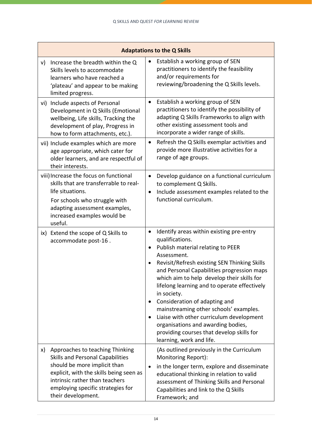| <b>Adaptations to the Q Skills</b>                                                                                                                                                                                                                       |                                                                                                                                                                                                                                                                                                                                                                                                                                                                                                                                                                                                                                   |  |  |
|----------------------------------------------------------------------------------------------------------------------------------------------------------------------------------------------------------------------------------------------------------|-----------------------------------------------------------------------------------------------------------------------------------------------------------------------------------------------------------------------------------------------------------------------------------------------------------------------------------------------------------------------------------------------------------------------------------------------------------------------------------------------------------------------------------------------------------------------------------------------------------------------------------|--|--|
| Increase the breadth within the Q<br>V)<br>Skills levels to accommodate<br>learners who have reached a<br>'plateau' and appear to be making<br>limited progress.                                                                                         | Establish a working group of SEN<br>practitioners to identify the feasibility<br>and/or requirements for<br>reviewing/broadening the Q Skills levels.                                                                                                                                                                                                                                                                                                                                                                                                                                                                             |  |  |
| vi) Include aspects of Personal<br>Development in Q Skills (Emotional<br>wellbeing, Life skills, Tracking the<br>development of play, Progress in<br>how to form attachments, etc.).                                                                     | Establish a working group of SEN<br>$\bullet$<br>practitioners to identify the possibility of<br>adapting Q Skills Frameworks to align with<br>other existing assessment tools and<br>incorporate a wider range of skills.                                                                                                                                                                                                                                                                                                                                                                                                        |  |  |
| vii) Include examples which are more<br>age appropriate, which cater for<br>older learners, and are respectful of<br>their interests.                                                                                                                    | Refresh the Q Skills exemplar activities and<br>$\bullet$<br>provide more illustrative activities for a<br>range of age groups.                                                                                                                                                                                                                                                                                                                                                                                                                                                                                                   |  |  |
| viii) Increase the focus on functional<br>skills that are transferrable to real-<br>life situations.<br>For schools who struggle with<br>adapting assessment examples,<br>increased examples would be<br>useful.                                         | Develop guidance on a functional curriculum<br>$\bullet$<br>to complement Q Skills.<br>Include assessment examples related to the<br>$\bullet$<br>functional curriculum.                                                                                                                                                                                                                                                                                                                                                                                                                                                          |  |  |
| ix) Extend the scope of Q Skills to<br>accommodate post-16.                                                                                                                                                                                              | Identify areas within existing pre-entry<br>$\bullet$<br>qualifications.<br>Publish material relating to PEER<br>$\bullet$<br>Assessment.<br>Revisit/Refresh existing SEN Thinking Skills<br>$\bullet$<br>and Personal Capabilities progression maps<br>which aim to help develop their skills for<br>lifelong learning and to operate effectively<br>in society.<br>Consideration of adapting and<br>$\bullet$<br>mainstreaming other schools' examples.<br>Liaise with other curriculum development<br>$\bullet$<br>organisations and awarding bodies,<br>providing courses that develop skills for<br>learning, work and life. |  |  |
| Approaches to teaching Thinking<br>X)<br><b>Skills and Personal Capabilities</b><br>should be more implicit than<br>explicit, with the skills being seen as<br>intrinsic rather than teachers<br>employing specific strategies for<br>their development. | (As outlined previously in the Curriculum<br>Monitoring Report):<br>in the longer term, explore and disseminate<br>$\bullet$<br>educational thinking in relation to valid<br>assessment of Thinking Skills and Personal<br>Capabilities and link to the Q Skills<br>Framework; and                                                                                                                                                                                                                                                                                                                                                |  |  |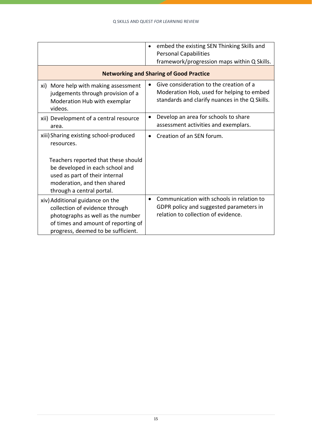|                                                                                                                                                                                     | embed the existing SEN Thinking Skills and<br>$\bullet$<br><b>Personal Capabilities</b><br>framework/progression maps within Q Skills.              |
|-------------------------------------------------------------------------------------------------------------------------------------------------------------------------------------|-----------------------------------------------------------------------------------------------------------------------------------------------------|
|                                                                                                                                                                                     | <b>Networking and Sharing of Good Practice</b>                                                                                                      |
| xi) More help with making assessment<br>judgements through provision of a<br>Moderation Hub with exemplar<br>videos.                                                                | Give consideration to the creation of a<br>$\bullet$<br>Moderation Hob, used for helping to embed<br>standards and clarify nuances in the Q Skills. |
| xii) Development of a central resource<br>area.                                                                                                                                     | Develop an area for schools to share<br>$\bullet$<br>assessment activities and exemplars.                                                           |
| xiii) Sharing existing school-produced<br>resources.                                                                                                                                | Creation of an SEN forum.<br>$\bullet$                                                                                                              |
| Teachers reported that these should<br>be developed in each school and<br>used as part of their internal<br>moderation, and then shared<br>through a central portal.                |                                                                                                                                                     |
| xiv) Additional guidance on the<br>collection of evidence through<br>photographs as well as the number<br>of times and amount of reporting of<br>progress, deemed to be sufficient. | Communication with schools in relation to<br>$\bullet$<br>GDPR policy and suggested parameters in<br>relation to collection of evidence.            |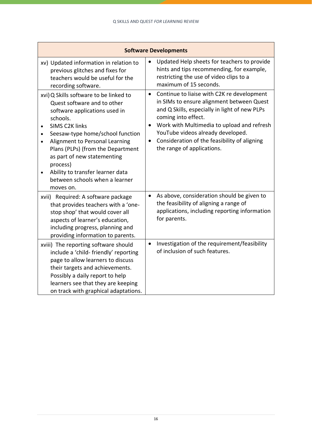| <b>Software Developments</b>                                                                                                                                                                                                                                                                                                                                                                                                             |                                                                                                                                                                                                                                                                                                                                                                         |  |  |
|------------------------------------------------------------------------------------------------------------------------------------------------------------------------------------------------------------------------------------------------------------------------------------------------------------------------------------------------------------------------------------------------------------------------------------------|-------------------------------------------------------------------------------------------------------------------------------------------------------------------------------------------------------------------------------------------------------------------------------------------------------------------------------------------------------------------------|--|--|
| xv) Updated information in relation to<br>previous glitches and fixes for<br>teachers would be useful for the<br>recording software.                                                                                                                                                                                                                                                                                                     | Updated Help sheets for teachers to provide<br>$\bullet$<br>hints and tips recommending, for example,<br>restricting the use of video clips to a<br>maximum of 15 seconds.                                                                                                                                                                                              |  |  |
| xvi) Q Skills software to be linked to<br>Quest software and to other<br>software applications used in<br>schools.<br><b>SIMS C2K links</b><br>$\bullet$<br>Seesaw-type home/school function<br>$\bullet$<br>Alignment to Personal Learning<br>$\bullet$<br>Plans (PLPs) (from the Department<br>as part of new statementing<br>process)<br>Ability to transfer learner data<br>$\bullet$<br>between schools when a learner<br>moves on. | Continue to liaise with C2K re development<br>$\bullet$<br>in SIMs to ensure alignment between Quest<br>and Q Skills, especially in light of new PLPs<br>coming into effect.<br>Work with Multimedia to upload and refresh<br>$\bullet$<br>YouTube videos already developed.<br>Consideration of the feasibility of aligning<br>$\bullet$<br>the range of applications. |  |  |
| xvii) Required: A software package<br>that provides teachers with a 'one-<br>stop shop' that would cover all<br>aspects of learner's education,<br>including progress, planning and<br>providing information to parents.                                                                                                                                                                                                                 | As above, consideration should be given to<br>$\bullet$<br>the feasibility of aligning a range of<br>applications, including reporting information<br>for parents.                                                                                                                                                                                                      |  |  |
| xviii) The reporting software should<br>include a 'child-friendly' reporting<br>page to allow learners to discuss<br>their targets and achievements.<br>Possibly a daily report to help<br>learners see that they are keeping<br>on track with graphical adaptations.                                                                                                                                                                    | Investigation of the requirement/feasibility<br>$\bullet$<br>of inclusion of such features.                                                                                                                                                                                                                                                                             |  |  |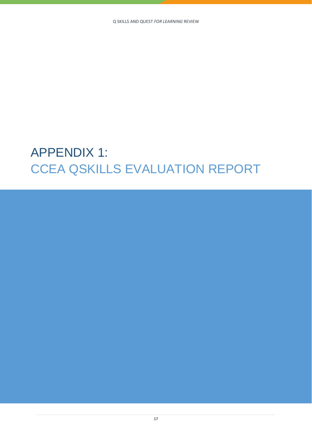# APPENDIX 1: CCEA QSKILLS EVALUATION REPORT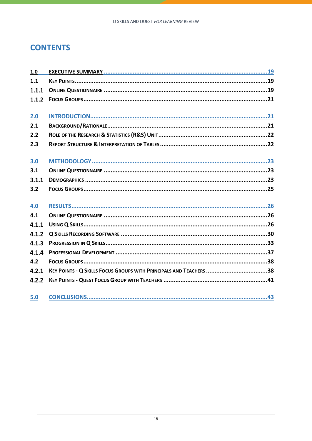### **CONTENTS**

| 1.0   |                                                                    |
|-------|--------------------------------------------------------------------|
| 1.1   |                                                                    |
| 1.1.1 |                                                                    |
| 1.1.2 |                                                                    |
|       |                                                                    |
| 2.0   |                                                                    |
| 2.1   |                                                                    |
| 2.2   |                                                                    |
| 2.3   |                                                                    |
|       |                                                                    |
| 3.0   |                                                                    |
| 3.1   |                                                                    |
| 3.1.1 |                                                                    |
| 3.2   |                                                                    |
|       |                                                                    |
| 4.0   |                                                                    |
| 4.1   |                                                                    |
| 4.1.1 |                                                                    |
| 4.1.2 |                                                                    |
| 4.1.3 |                                                                    |
| 4.1.4 |                                                                    |
| 4.2   |                                                                    |
| 4.2.1 | KEY POINTS - Q SKILLS FOCUS GROUPS WITH PRINCIPALS AND TEACHERS 38 |
| 4.2.2 |                                                                    |
|       |                                                                    |
| 5.0   |                                                                    |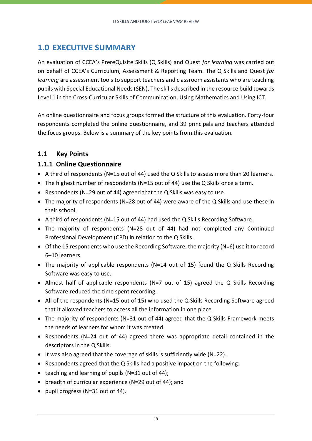### **[1.0 EXECUTIVE SUMMARY](#page-42-1)**

[An evaluation](#page-42-1) of CCEA's PrereQuisite Skills (Q Skills) and Quest *for learning* was carried out on behalf of CCEA's Curriculum, Assessment & Reporting Team. The Q Skills and Quest *for learning* are assessment tools to support teachers and classroom assistants who are teaching pupils with Special Educational Needs (SEN). The skills described in the resource build towards Level 1 in the Cross-Curricular Skills of Communication, Using Mathematics and Using ICT.

An online questionnaire and focus groups formed the structure of this evaluation. Forty-four respondents completed the online questionnaire, and 39 principals and teachers attended the focus groups. Below is a summary of the key points from this evaluation.

### <span id="page-20-2"></span><span id="page-20-0"></span>**1.1 Key Points**

### <span id="page-20-3"></span><span id="page-20-1"></span>**1.1.1 Online Questionnaire**

- A third of respondents (N=15 out of 44) used the Q Skills to assess more than 20 learners.
- The highest number of respondents (N=15 out of 44) use the Q Skills once a term.
- Respondents (N=29 out of 44) agreed that the Q Skills was easy to use.
- The majority of respondents (N=28 out of 44) were aware of the Q Skills and use these in their school.
- A third of respondents (N=15 out of 44) had used the Q Skills Recording Software.
- The majority of respondents (N=28 out of 44) had not completed any Continued Professional Development (CPD) in relation to the Q Skills.
- Of the 15 respondents who use the Recording Software, the majority (N=6) use it to record 6–10 learners.
- The majority of applicable respondents (N=14 out of 15) found the Q Skills Recording Software was easy to use.
- Almost half of applicable respondents (N=7 out of 15) agreed the Q Skills Recording Software reduced the time spent recording.
- All of the respondents (N=15 out of 15) who used the Q Skills Recording Software agreed that it allowed teachers to access all the information in one place.
- The majority of respondents (N=31 out of 44) agreed that the Q Skills Framework meets the needs of learners for whom it was created.
- Respondents (N=24 out of 44) agreed there was appropriate detail contained in the descriptors in the Q Skills.
- It was also agreed that the coverage of skills is sufficiently wide (N=22).
- Respondents agreed that the Q Skills had a positive impact on the following:
- teaching and learning of pupils (N=31 out of 44);
- breadth of curricular experience (N=29 out of 44); and
- pupil progress (N=31 out of 44).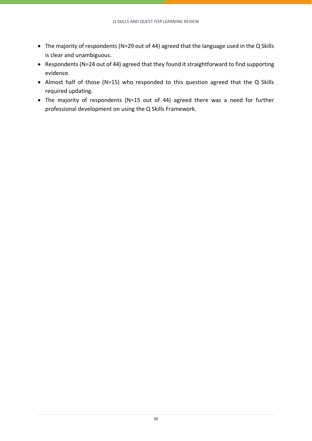- The majority of respondents (N=29 out of 44) agreed that the language used in the Q Skills is clear and unambiguous.
- Respondents (N=24 out of 44) agreed that they found it straightforward to find supporting evidence.
- Almost half of those (N=15) who responded to this question agreed that the Q Skills required updating.
- The majority of respondents (N=15 out of 44) agreed there was a need for further professional development on using the Q Skills Framework.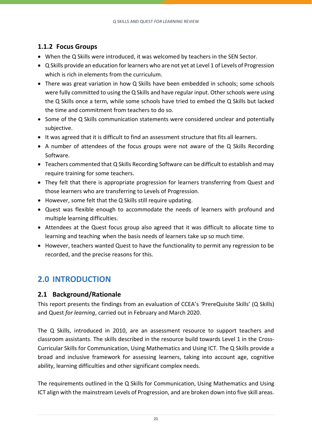### <span id="page-22-3"></span><span id="page-22-0"></span>**1.1.2 Focus Groups**

- When the Q Skills were introduced, it was welcomed by teachers in the SEN Sector.
- Q Skills provide an education for learners who are not yet at Level 1 of Levels of Progression which is rich in elements from the curriculum.
- There was great variation in how Q Skills have been embedded in schools; some schools were fully committed to using the Q Skills and have regular input. Other schools were using the Q Skills once a term, while some schools have tried to embed the Q Skills but lacked the time and commitment from teachers to do so.
- Some of the Q Skills communication statements were considered unclear and potentially subjective.
- It was agreed that it is difficult to find an assessment structure that fits all learners.
- A number of attendees of the focus groups were not aware of the Q Skills Recording Software.
- Teachers commented that Q Skills Recording Software can be difficult to establish and may require training for some teachers.
- They felt that there is appropriate progression for learners transferring from Quest and those learners who are transferring to Levels of Progression.
- However, some felt that the Q Skills still require updating.
- Quest was flexible enough to accommodate the needs of learners with profound and multiple learning difficulties.
- Attendees at the Quest focus group also agreed that it was difficult to allocate time to learning and teaching when the basis needs of learners take up so much time.
- However, teachers wanted Quest to have the functionality to permit any regression to be recorded, and the precise reasons for this.

## <span id="page-22-1"></span>**2.0 INTRODUCTION**

### <span id="page-22-4"></span><span id="page-22-2"></span>**2.1 Background/Rationale**

This report presents the findings from an evaluation of CCEA's *'*PrereQuisite Skills' (Q Skills) and Quest *for learning*, carried out in February and March 2020.

The Q Skills, introduced in 2010, are an assessment resource to support teachers and classroom assistants. The skills described in the resource build towards Level 1 in the Cross-Curricular Skills for Communication, Using Mathematics and Using ICT. The Q Skills provide a broad and inclusive framework for assessing learners, taking into account age, cognitive ability, learning difficulties and other significant complex needs.

The requirements outlined in the Q Skills for Communication, Using Mathematics and Using ICT align with the mainstream Levels of Progression, and are broken down into five skill areas.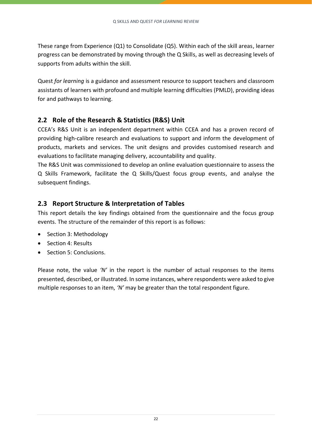These range from Experience (Q1) to Consolidate (Q5). Within each of the skill areas, learner progress can be demonstrated by moving through the Q Skills, as well as decreasing levels of supports from adults within the skill.

Quest *for learning* is a guidance and assessment resource to support teachers and classroom assistants of learners with profound and multiple learning difficulties (PMLD), providing ideas for and pathways to learning.

### <span id="page-23-2"></span><span id="page-23-0"></span>**2.2 Role of the Research & Statistics (R&S) Unit**

CCEA's R&S Unit is an independent department within CCEA and has a proven record of providing high-calibre research and evaluations to support and inform the development of products, markets and services. The unit designs and provides customised research and evaluations to facilitate managing delivery, accountability and quality.

The R&S Unit was commissioned to develop an online evaluation questionnaire to assess the Q Skills Framework, facilitate the Q Skills/Quest focus group events, and analyse the subsequent findings.

### <span id="page-23-3"></span><span id="page-23-1"></span>**2.3 Report Structure & Interpretation of Tables**

This report details the key findings obtained from the questionnaire and the focus group events. The structure of the remainder of this report is as follows:

- Section 3: Methodology
- Section 4: Results
- Section 5: Conclusions.

Please note, the value *'N'* in the report is the number of actual responses to the items presented, described, or illustrated. In some instances, where respondents were asked to give multiple responses to an item, *'N'* may be greater than the total respondent figure.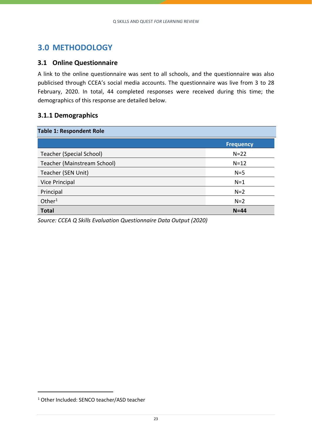### <span id="page-24-0"></span>**3.0 METHODOLOGY**

### <span id="page-24-3"></span><span id="page-24-1"></span>**3.1 Online Questionnaire**

A link to the online questionnaire was sent to all schools, and the questionnaire was also publicised through CCEA's social media accounts. The questionnaire was live from 3 to 28 February, 2020. In total, 44 completed responses were received during this time; the demographics of this response are detailed below.

### <span id="page-24-4"></span><span id="page-24-2"></span>**3.1.1 Demographics**

| <b>Table 1: Respondent Role</b> |                  |  |  |
|---------------------------------|------------------|--|--|
|                                 | <b>Frequency</b> |  |  |
| <b>Teacher (Special School)</b> | $N=22$           |  |  |
| Teacher (Mainstream School)     | $N=12$           |  |  |
| Teacher (SEN Unit)              | $N=5$            |  |  |
| <b>Vice Principal</b>           | $N=1$            |  |  |
| Principal                       | $N=2$            |  |  |
| Other $1$                       | $N=2$            |  |  |
| <b>Total</b>                    | $N = 44$         |  |  |

*Source: CCEA Q Skills Evaluation Questionnaire Data Output (2020)*

<sup>1</sup> Other Included: SENCO teacher/ASD teacher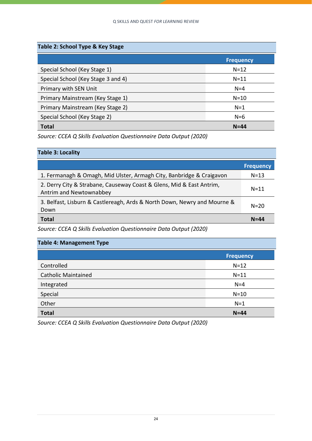| Table 2: School Type & Key Stage   |                  |  |  |
|------------------------------------|------------------|--|--|
|                                    | <b>Frequency</b> |  |  |
| Special School (Key Stage 1)       | $N = 12$         |  |  |
| Special School (Key Stage 3 and 4) | $N = 11$         |  |  |
| Primary with SEN Unit              | $N = 4$          |  |  |
| Primary Mainstream (Key Stage 1)   | $N = 10$         |  |  |
| Primary Mainstream (Key Stage 2)   | $N=1$            |  |  |
| Special School (Key Stage 2)       | $N=6$            |  |  |
| <b>Total</b>                       | $N = 44$         |  |  |

*Source: CCEA Q Skills Evaluation Questionnaire Data Output (2020)*

#### **Table 3: Locality**

|                                                                                                 | <b>Frequency</b> |
|-------------------------------------------------------------------------------------------------|------------------|
| 1. Fermanagh & Omagh, Mid Ulster, Armagh City, Banbridge & Craigavon                            | $N=13$           |
| 2. Derry City & Strabane, Causeway Coast & Glens, Mid & East Antrim,<br>Antrim and Newtownabbey | $N=11$           |
| 3. Belfast, Lisburn & Castlereagh, Ards & North Down, Newry and Mourne &<br>Down                | $N=20$           |
| <b>Total</b>                                                                                    | $N = 44$         |

*Source: CCEA Q Skills Evaluation Questionnaire Data Output (2020)*

| <b>Table 4: Management Type</b> |                  |  |  |
|---------------------------------|------------------|--|--|
|                                 | <b>Frequency</b> |  |  |
| Controlled                      | $N=12$           |  |  |
| <b>Catholic Maintained</b>      | $N = 11$         |  |  |
| Integrated                      | $N=4$            |  |  |
| Special                         | $N=10$           |  |  |
| Other                           | $N=1$            |  |  |
| <b>Total</b>                    | $N = 44$         |  |  |

*Source: CCEA Q Skills Evaluation Questionnaire Data Output (2020)*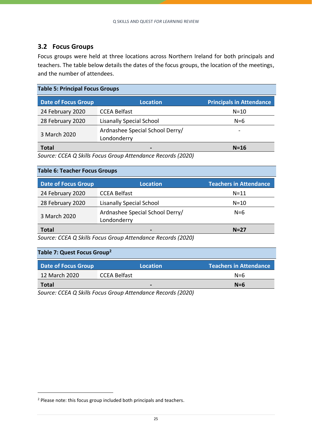### <span id="page-26-1"></span><span id="page-26-0"></span>**3.2 Focus Groups**

Focus groups were held at three locations across Northern Ireland for both principals and teachers. The table below details the dates of the focus groups, the location of the meetings, and the number of attendees.

| <b>Table 5: Principal Focus Groups</b> |                                                |                                 |  |
|----------------------------------------|------------------------------------------------|---------------------------------|--|
| <b>Date of Focus Group</b>             | <b>Location</b>                                | <b>Principals in Attendance</b> |  |
| 24 February 2020                       | <b>CCEA Belfast</b>                            | $N=10$                          |  |
| 28 February 2020                       | <b>Lisanally Special School</b>                | $N=6$                           |  |
| 3 March 2020                           | Ardnashee Special School Derry/<br>Londonderry |                                 |  |
| <b>Total</b>                           |                                                | $N=16$                          |  |

*Source: CCEA Q Skills Focus Group Attendance Records (2020)*

#### **Table 6: Teacher Focus Groups**

| <b>Date of Focus Group</b>                                   | <b>Location</b>                                | <b>Teachers in Attendance</b> |  |
|--------------------------------------------------------------|------------------------------------------------|-------------------------------|--|
| 24 February 2020                                             | <b>CCEA Belfast</b>                            | $N = 11$                      |  |
| 28 February 2020                                             | <b>Lisanally Special School</b>                | $N = 10$                      |  |
| 3 March 2020                                                 | Ardnashee Special School Derry/<br>Londonderry | $N=6$                         |  |
| <b>Total</b>                                                 | $\qquad \qquad \blacksquare$                   | $N=27$                        |  |
| Causey CCEA O Chille Faous Croup Attorneyers Reserved (2020) |                                                |                               |  |

*Source: CCEA Q Skills Focus Group Attendance Records (2020)*

### **Table 7: Quest Focus Group<sup>2</sup>**

| Date of Focus Group | Location            | <b>Teachers in Attendance</b> |
|---------------------|---------------------|-------------------------------|
| 12 March 2020       | <b>CCEA Belfast</b> | $N = 6$                       |
| Total               | -                   | $N=6$                         |
|                     |                     |                               |

*Source: CCEA Q Skills Focus Group Attendance Records (2020)*

<sup>2</sup> Please note: this focus group included both principals and teachers.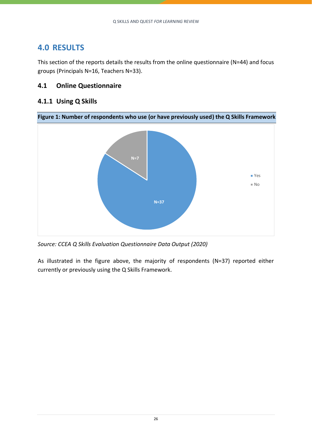### <span id="page-27-0"></span>**4.0 RESULTS**

This section of the reports details the results from the online questionnaire (N=44) and focus groups (Principals N=16, Teachers N=33).

### <span id="page-27-3"></span><span id="page-27-1"></span>**4.1 Online Questionnaire**

### <span id="page-27-4"></span><span id="page-27-2"></span>**4.1.1 Using Q Skills**



*Source: CCEA Q Skills Evaluation Questionnaire Data Output (2020)*

As illustrated in the figure above, the majority of respondents (N=37) reported either currently or previously using the Q Skills Framework.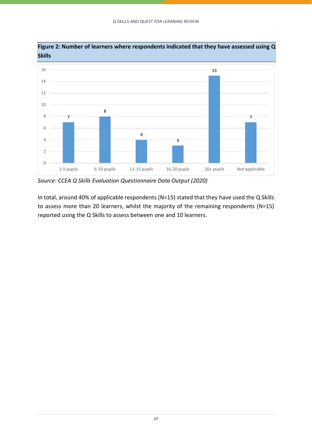

**Figure 2: Number of learners where respondents indicated that they have assessed using Q Skills**

*Source: CCEA Q Skills Evaluation Questionnaire Data Output (2020)*

In total, around 40% of applicable respondents (N=15) stated that they have used the Q Skills to assess more than 20 learners, whilst the majority of the remaining respondents (N=15) reported using the Q Skills to assess between one and 10 learners.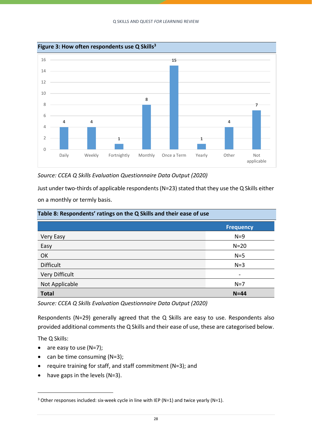

*Source: CCEA Q Skills Evaluation Questionnaire Data Output (2020)*

Just under two-thirds of applicable respondents (N=23) stated that they use the Q Skills either on a monthly or termly basis.

| Table 8: Respondents' ratings on the Q Skills and their ease of use |                  |  |  |  |  |
|---------------------------------------------------------------------|------------------|--|--|--|--|
|                                                                     | <b>Frequency</b> |  |  |  |  |
| <b>Very Easy</b>                                                    | $N=9$            |  |  |  |  |
| Easy                                                                | $N=20$           |  |  |  |  |
| OK                                                                  | $N=5$            |  |  |  |  |
| <b>Difficult</b>                                                    | $N=3$            |  |  |  |  |
| <b>Very Difficult</b>                                               | $\qquad \qquad$  |  |  |  |  |
| Not Applicable                                                      | $N=7$            |  |  |  |  |
| <b>Total</b>                                                        | $N = 44$         |  |  |  |  |

*Source: CCEA Q Skills Evaluation Questionnaire Data Output (2020)*

Respondents (N=29) generally agreed that the Q Skills are easy to use. Respondents also provided additional comments the Q Skills and their ease of use, these are categorised below.

The Q Skills:

- are easy to use  $(N=7)$ ;
- can be time consuming  $(N=3)$ ;
- require training for staff, and staff commitment (N=3); and
- $\bullet$  have gaps in the levels (N=3).

<sup>3</sup> Other responses included: six-week cycle in line with IEP (N=1) and twice yearly (N=1).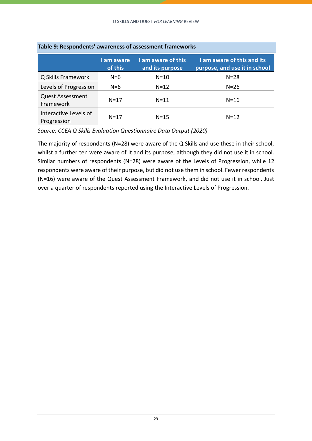| Table 9: Respondents' awareness of assessment frameworks |                       |                                       |                                                             |  |  |  |  |
|----------------------------------------------------------|-----------------------|---------------------------------------|-------------------------------------------------------------|--|--|--|--|
|                                                          | I am aware<br>of this | I am aware of this<br>and its purpose | I am aware of this and its<br>purpose, and use it in school |  |  |  |  |
| Q Skills Framework                                       | $N=6$                 | $N=10$                                | $N = 28$                                                    |  |  |  |  |
| Levels of Progression                                    | $N=6$                 | $N=12$                                | $N = 26$                                                    |  |  |  |  |
| <b>Quest Assessment</b><br>Framework                     | $N=17$                | $N = 11$                              | $N=16$                                                      |  |  |  |  |
| Interactive Levels of<br>Progression                     | $N = 17$              | $N = 15$                              | $N=12$                                                      |  |  |  |  |

**Table 9: Respondents' awareness of assessment frameworks**

*Source: CCEA Q Skills Evaluation Questionnaire Data Output (2020)*

The majority of respondents (N=28) were aware of the Q Skills and use these in their school, whilst a further ten were aware of it and its purpose, although they did not use it in school. Similar numbers of respondents (N=28) were aware of the Levels of Progression, while 12 respondents were aware of their purpose, but did not use them in school. Fewer respondents (N=16) were aware of the Quest Assessment Framework, and did not use it in school. Just over a quarter of respondents reported using the Interactive Levels of Progression.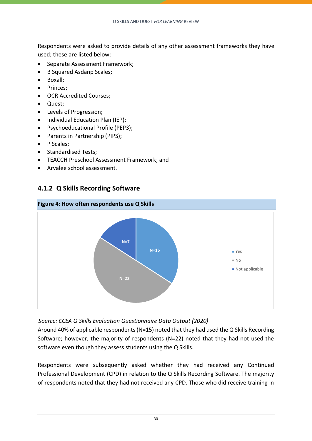Respondents were asked to provide details of any other assessment frameworks they have used; these are listed below:

- Separate Assessment Framework;
- B Squared Asdanp Scales;
- Boxall;
- Princes;
- OCR Accredited Courses;
- Quest;
- Levels of Progression;
- Individual Education Plan (IEP);
- Psychoeducational Profile (PEP3);
- Parents in Partnership (PIPS);
- P Scales;
- Standardised Tests;
- TEACCH Preschool Assessment Framework; and
- Arvalee school assessment.

### <span id="page-31-1"></span><span id="page-31-0"></span>**4.1.2 Q Skills Recording Software**



*SSSource: CCEA Q Skills Evaluation Questionnaire Data Output (2020)*

Around 40% of applicable respondents (N=15) noted that they had used the Q Skills Recording Software; however, the majority of respondents (N=22) noted that they had not used the software even though they assess students using the Q Skills.

Respondents were subsequently asked whether they had received any Continued Professional Development (CPD) in relation to the Q Skills Recording Software. The majority of respondents noted that they had not received any CPD. Those who did receive training in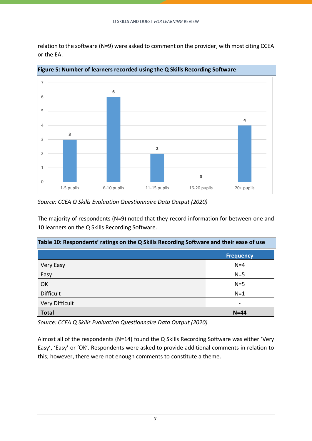relation to the software (N=9) were asked to comment on the provider, with most citing CCEA or the EA.



**Figure 5: Number of learners recorded using the Q Skills Recording Software**

*Source: CCEA Q Skills Evaluation Questionnaire Data Output (2020)*

The majority of respondents (N=9) noted that they record information for between one and 10 learners on the Q Skills Recording Software.

| Table 10: Respondents' ratings on the Q Skills Recording Software and their ease of use |                  |  |  |  |  |  |
|-----------------------------------------------------------------------------------------|------------------|--|--|--|--|--|
|                                                                                         | <b>Frequency</b> |  |  |  |  |  |
| Very Easy                                                                               | $N=4$            |  |  |  |  |  |
| Easy                                                                                    | $N=5$            |  |  |  |  |  |
| OK                                                                                      | $N=5$            |  |  |  |  |  |
| <b>Difficult</b>                                                                        | $N=1$            |  |  |  |  |  |
| <b>Very Difficult</b><br>$\qquad \qquad \blacksquare$                                   |                  |  |  |  |  |  |
| <b>Total</b><br>$N = 44$                                                                |                  |  |  |  |  |  |

*Source: CCEA Q Skills Evaluation Questionnaire Data Output (2020)*

Almost all of the respondents (N=14) found the Q Skills Recording Software was either 'Very Easy', 'Easy' or 'OK'. Respondents were asked to provide additional comments in relation to this; however, there were not enough comments to constitute a theme.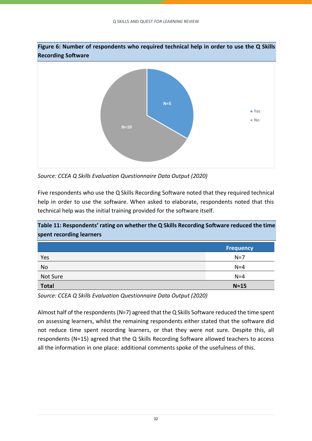

*Source: CCEA Q Skills Evaluation Questionnaire Data Output (2020)*

Five respondents who use the Q Skills Recording Software noted that they required technical help in order to use the software. When asked to elaborate, respondents noted that this technical help was the initial training provided for the software itself.

**Table 11: Respondents' rating on whether the Q Skills Recording Software reduced the time spent recording learners**

|              | <b>Frequency</b> |
|--------------|------------------|
| Yes          | $N=7$            |
| No           | $N=4$            |
| Not Sure     | $N=4$            |
| <b>Total</b> | $N=15$           |

*Source: CCEA Q Skills Evaluation Questionnaire Data Output (2020)*

Almost half of the respondents (N=7) agreed that the Q Skills Software reduced the time spent on assessing learners, whilst the remaining respondents either stated that the software did not reduce time spent recording learners, or that they were not sure. Despite this, all respondents (N=15) agreed that the Q Skills Recording Software allowed teachers to access all the information in one place: additional comments spoke of the usefulness of this.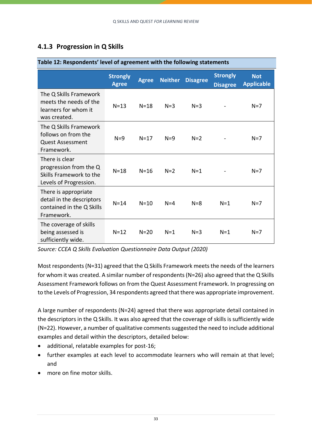### <span id="page-34-1"></span><span id="page-34-0"></span>**4.1.3 Progression in Q Skills**

| Table 12: Respondents' level of agreement with the following statements                       |                                 |              |                |                 |                                    |                                 |  |
|-----------------------------------------------------------------------------------------------|---------------------------------|--------------|----------------|-----------------|------------------------------------|---------------------------------|--|
|                                                                                               | <b>Strongly</b><br><b>Agree</b> | <b>Agree</b> | <b>Neither</b> | <b>Disagree</b> | <b>Strongly</b><br><b>Disagree</b> | <b>Not</b><br><b>Applicable</b> |  |
| The Q Skills Framework<br>meets the needs of the<br>learners for whom it<br>was created.      | $N=13$                          | $N = 18$     | $N=3$          | $N = 3$         |                                    | $N=7$                           |  |
| The Q Skills Framework<br>follows on from the<br><b>Quest Assessment</b><br>Framework.        | $N=9$                           | $N=17$       | $N=9$          | $N=2$           |                                    | $N=7$                           |  |
| There is clear<br>progression from the Q<br>Skills Framework to the<br>Levels of Progression. | $N = 18$                        | $N = 16$     | $N=2$          | $N=1$           |                                    | $N=7$                           |  |
| There is appropriate<br>detail in the descriptors<br>contained in the Q Skills<br>Framework.  | $N = 14$                        | $N=10$       | $N = 4$        | $N = 8$         | $N=1$                              | $N=7$                           |  |
| The coverage of skills<br>being assessed is<br>sufficiently wide.                             | $N=12$                          | $N = 20$     | $N=1$          | $N=3$           | $N=1$                              | $N=7$                           |  |

*Source: CCEA Q Skills Evaluation Questionnaire Data Output (2020)*

Most respondents (N=31) agreed that the Q Skills Framework meets the needs of the learners for whom it was created. A similar number of respondents (N=26) also agreed that the Q Skills Assessment Framework follows on from the Quest Assessment Framework. In progressing on to the Levels of Progression, 34 respondents agreed that there was appropriate improvement.

A large number of respondents (N=24) agreed that there was appropriate detail contained in the descriptors in the Q Skills. It was also agreed that the coverage of skills is sufficiently wide (N=22). However, a number of qualitative comments suggested the need to include additional examples and detail within the descriptors, detailed below:

- additional, relatable examples for post-16;
- further examples at each level to accommodate learners who will remain at that level; and
- more on fine motor skills.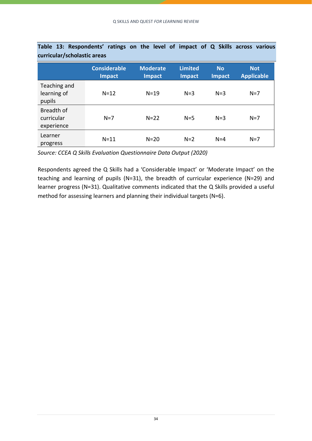| <u>carricalar/Jerrolastic di cas</u>   |                                      |                                  |                                 |                            |                                 |
|----------------------------------------|--------------------------------------|----------------------------------|---------------------------------|----------------------------|---------------------------------|
|                                        | <b>Considerable</b><br><b>Impact</b> | <b>Moderate</b><br><b>Impact</b> | <b>Limited</b><br><b>Impact</b> | <b>No</b><br><b>Impact</b> | <b>Not</b><br><b>Applicable</b> |
| Teaching and<br>learning of<br>pupils  | $N=12$                               | $N = 19$                         | $N=3$                           | $N=3$                      | $N=7$                           |
| Breadth of<br>curricular<br>experience | $N=7$                                | $N=22$                           | $N=5$                           | $N=3$                      | $N=7$                           |
| Learner<br>progress                    | $N = 11$                             | $N=20$                           | $N=2$                           | $N=4$                      | $N=7$                           |

**Table 13: Respondents' ratings on the level of impact of Q Skills across various curricular/scholastic areas**

*Source: CCEA Q Skills Evaluation Questionnaire Data Output (2020)*

Respondents agreed the Q Skills had a 'Considerable Impact' or 'Moderate Impact' on the teaching and learning of pupils (N=31), the breadth of curricular experience (N=29) and learner progress (N=31). Qualitative comments indicated that the Q Skills provided a useful method for assessing learners and planning their individual targets (N=6).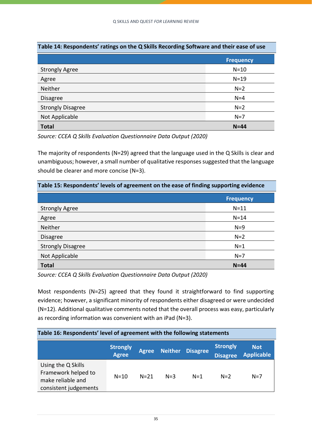| Table 14: Respondents' ratings on the Q Skills Recording Software and their ease of use |                  |  |  |  |  |
|-----------------------------------------------------------------------------------------|------------------|--|--|--|--|
|                                                                                         | <b>Frequency</b> |  |  |  |  |
| <b>Strongly Agree</b>                                                                   | $N=10$           |  |  |  |  |
| Agree                                                                                   | $N=19$           |  |  |  |  |
| Neither                                                                                 | $N=2$            |  |  |  |  |
| <b>Disagree</b>                                                                         | $N=4$            |  |  |  |  |
| <b>Strongly Disagree</b>                                                                | $N=2$            |  |  |  |  |
| Not Applicable                                                                          | $N=7$            |  |  |  |  |
| <b>Total</b><br>$N = 44$                                                                |                  |  |  |  |  |

*Source: CCEA Q Skills Evaluation Questionnaire Data Output (2020)*

The majority of respondents (N=29) agreed that the language used in the Q Skills is clear and unambiguous; however, a small number of qualitative responses suggested that the language should be clearer and more concise (N=3).

| Table 15: Respondents' levels of agreement on the ease of finding supporting evidence |                  |  |  |  |  |
|---------------------------------------------------------------------------------------|------------------|--|--|--|--|
|                                                                                       | <b>Frequency</b> |  |  |  |  |
| <b>Strongly Agree</b>                                                                 | $N = 11$         |  |  |  |  |
| Agree                                                                                 | $N = 14$         |  |  |  |  |
| <b>Neither</b>                                                                        | $N=9$            |  |  |  |  |
| <b>Disagree</b>                                                                       | $N=2$            |  |  |  |  |
| <b>Strongly Disagree</b>                                                              | $N=1$            |  |  |  |  |
| Not Applicable<br>$N=7$                                                               |                  |  |  |  |  |
| <b>Total</b>                                                                          | $N = 44$         |  |  |  |  |

*Source: CCEA Q Skills Evaluation Questionnaire Data Output (2020)*

Most respondents (N=25) agreed that they found it straightforward to find supporting evidence; however, a significant minority of respondents either disagreed or were undecided (N=12). Additional qualitative comments noted that the overall process was easy, particularly as recording information was convenient with an iPad (N=3).

| Table 16: Respondents' level of agreement with the following statements                 |                                 |              |                |                 |                                    |                                 |  |
|-----------------------------------------------------------------------------------------|---------------------------------|--------------|----------------|-----------------|------------------------------------|---------------------------------|--|
|                                                                                         | <b>Strongly</b><br><b>Agree</b> | <b>Agree</b> | <b>Neither</b> | <b>Disagree</b> | <b>Strongly</b><br><b>Disagree</b> | <b>Not</b><br><b>Applicable</b> |  |
| Using the Q Skills<br>Framework helped to<br>make reliable and<br>consistent judgements | $N=10$                          | $N = 21$     | $N = 3$        | $N=1$           | $N=2$                              | $N=7$                           |  |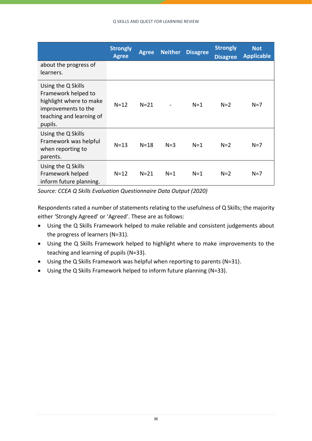|                                                                                                                                    | <b>Strongly</b><br><b>Agree</b> | <b>Agree</b> | <b>Neither</b> | <b>Disagree</b> | <b>Strongly</b><br><b>Disagree</b> | <b>Not</b><br><b>Applicable</b> |
|------------------------------------------------------------------------------------------------------------------------------------|---------------------------------|--------------|----------------|-----------------|------------------------------------|---------------------------------|
| about the progress of<br>learners.                                                                                                 |                                 |              |                |                 |                                    |                                 |
| Using the Q Skills<br>Framework helped to<br>highlight where to make<br>improvements to the<br>teaching and learning of<br>pupils. | $N=12$                          | $N=21$       |                | $N=1$           | $N=2$                              | $N=7$                           |
| Using the Q Skills<br>Framework was helpful<br>when reporting to<br>parents.                                                       | $N=13$                          | $N = 18$     | $N=3$          | $N=1$           | $N=2$                              | $N=7$                           |
| Using the Q Skills<br>Framework helped<br>inform future planning.                                                                  | $N=12$                          | $N=21$       | $N=1$          | $N=1$           | $N=2$                              | $N=7$                           |

*Source: CCEA Q Skills Evaluation Questionnaire Data Output (2020)*

Respondents rated a number of statements relating to the usefulness of Q Skills; the majority either 'Strongly Agreed' or 'Agreed'. These are as follows:

- Using the Q Skills Framework helped to make reliable and consistent judgements about the progress of learners (N=31).
- Using the Q Skills Framework helped to highlight where to make improvements to the teaching and learning of pupils (N=33).
- Using the Q Skills Framework was helpful when reporting to parents (N=31).
- Using the Q Skills Framework helped to inform future planning (N=33).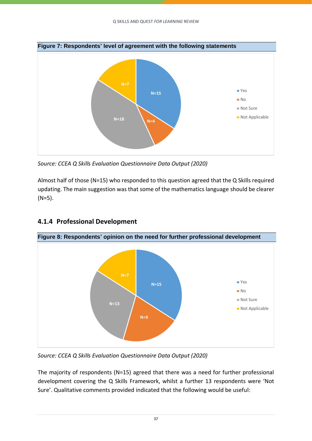

*Source: CCEA Q Skills Evaluation Questionnaire Data Output (2020)*

Almost half of those (N=15) who responded to this question agreed that the Q Skills required updating. The main suggestion was that some of the mathematics language should be clearer  $(N=5)$ .



### <span id="page-38-1"></span><span id="page-38-0"></span>**4.1.4 Professional Development**

*Source: CCEA Q Skills Evaluation Questionnaire Data Output (2020)*

The majority of respondents (N=15) agreed that there was a need for further professional development covering the Q Skills Framework, whilst a further 13 respondents were 'Not Sure'. Qualitative comments provided indicated that the following would be useful: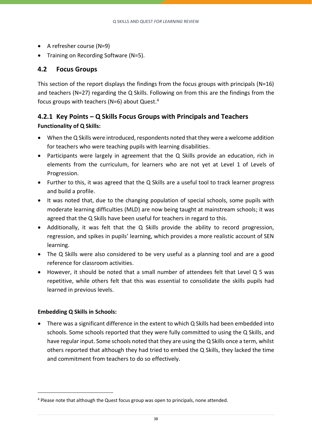- A refresher course (N=9)
- Training on Recording Software (N=5).

### <span id="page-39-2"></span><span id="page-39-0"></span>**4.2 Focus Groups**

This section of the report displays the findings from the focus groups with principals (N=16) and teachers (N=27) regarding the Q Skills. Following on from this are the findings from the focus groups with teachers (N=6) about Quest.<sup>4</sup>

### <span id="page-39-3"></span><span id="page-39-1"></span>**4.2.1 Key Points – Q Skills Focus Groups with Principals and Teachers Functionality of Q Skills:**

- When the Q Skills were introduced, respondents noted that they were a welcome addition for teachers who were teaching pupils with learning disabilities.
- Participants were largely in agreement that the Q Skills provide an education, rich in elements from the curriculum, for learners who are not yet at Level 1 of Levels of Progression.
- Further to this, it was agreed that the Q Skills are a useful tool to track learner progress and build a profile.
- It was noted that, due to the changing population of special schools, some pupils with moderate learning difficulties (MLD) are now being taught at mainstream schools; it was agreed that the Q Skills have been useful for teachers in regard to this.
- Additionally, it was felt that the Q Skills provide the ability to record progression, regression, and spikes in pupils' learning, which provides a more realistic account of SEN learning.
- The Q Skills were also considered to be very useful as a planning tool and are a good reference for classroom activities.
- However, it should be noted that a small number of attendees felt that Level Q 5 was repetitive, while others felt that this was essential to consolidate the skills pupils had learned in previous levels.

### **Embedding Q Skills in Schools:**

• There was a significant difference in the extent to which Q Skills had been embedded into schools. Some schools reported that they were fully committed to using the Q Skills, and have regular input. Some schools noted that they are using the Q Skills once a term, whilst others reported that although they had tried to embed the Q Skills, they lacked the time and commitment from teachers to do so effectively.

<sup>4</sup> Please note that although the Quest focus group was open to principals, none attended.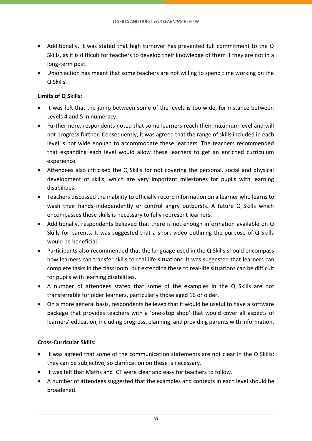- Additionally, it was stated that high turnover has prevented full commitment to the Q Skills, as it is difficult for teachers to develop their knowledge of them if they are not in a long-term post.
- Union action has meant that some teachers are not willing to spend time working on the Q Skills.

#### **Limits of Q Skills:**

- It was felt that the jump between some of the levels is too wide, for instance between Levels 4 and 5 in numeracy.
- Furthermore, respondents noted that some learners reach their maximum level and will not progress further. Consequently, it was agreed that the range of skills included in each level is not wide enough to accommodate these learners. The teachers recommended that expanding each level would allow these learners to get an enriched curriculum experience.
- Attendees also criticised the Q Skills for not covering the personal, social and physical development of skills, which are very important milestones for pupils with learning disabilities.
- Teachers discussed the inability to officially record information on a learner who learns to wash their hands independently or control angry outbursts. A future Q Skills which encompasses these skills is necessary to fully represent learners.
- Additionally, respondents believed that there is not enough information available on Q Skills for parents. It was suggested that a short video outlining the purpose of Q Skills would be beneficial.
- Participants also recommended that the language used in the Q Skills should encompass how learners can transfer skills to real-life situations. It was suggested that learners can complete tasks in the classroom: but extending these to real-life situations can be difficult for pupils with learning disabilities.
- A number of attendees stated that some of the examples in the Q Skills are not transferrable for older learners, particularly those aged 16 or older.
- On a more general basis, respondents believed that it would be useful to have a software package that provides teachers with a 'one-stop shop' that would cover all aspects of learners' education, including progress, planning, and providing parents with information.

#### **Cross-Curricular Skills:**

- It was agreed that some of the communication statements are not clear in the Q Skills: they can be subjective, so clarification on these is necessary.
- It was felt that Maths and ICT were clear and easy for teachers to follow.
- A number of attendees suggested that the examples and contexts in each level should be broadened.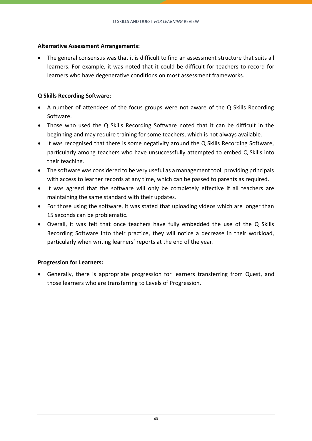#### **Alternative Assessment Arrangements:**

• The general consensus was that it is difficult to find an assessment structure that suits all learners. For example, it was noted that it could be difficult for teachers to record for learners who have degenerative conditions on most assessment frameworks.

#### **Q Skills Recording Software**:

- A number of attendees of the focus groups were not aware of the Q Skills Recording Software.
- Those who used the Q Skills Recording Software noted that it can be difficult in the beginning and may require training for some teachers, which is not always available.
- It was recognised that there is some negativity around the Q Skills Recording Software, particularly among teachers who have unsuccessfully attempted to embed Q Skills into their teaching.
- The software was considered to be very useful as a management tool, providing principals with access to learner records at any time, which can be passed to parents as required.
- It was agreed that the software will only be completely effective if all teachers are maintaining the same standard with their updates.
- For those using the software, it was stated that uploading videos which are longer than 15 seconds can be problematic.
- Overall, it was felt that once teachers have fully embedded the use of the Q Skills Recording Software into their practice, they will notice a decrease in their workload, particularly when writing learners' reports at the end of the year.

#### **Progression for Learners:**

• Generally, there is appropriate progression for learners transferring from Quest, and those learners who are transferring to Levels of Progression.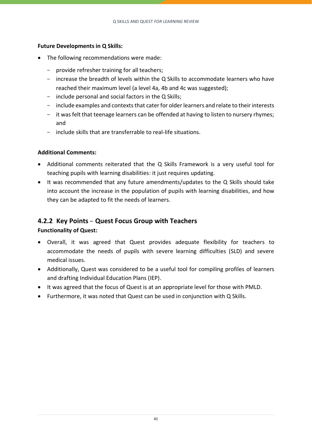#### **Future Developments in Q Skills:**

- The following recommendations were made:
	- provide refresher training for all teachers;
	- increase the breadth of levels within the Q Skills to accommodate learners who have reached their maximum level (a level 4a, 4b and 4c was suggested);
	- include personal and social factors in the Q Skills;
	- include examples and contexts that cater for older learners and relate to their interests
	- it was felt that teenage learners can be offended at having to listen to nursery rhymes; and
	- include skills that are transferrable to real-life situations.

#### **Additional Comments:**

- Additional comments reiterated that the Q Skills Framework is a very useful tool for teaching pupils with learning disabilities: it just requires updating.
- It was recommended that any future amendments/updates to the Q Skills should take into account the increase in the population of pupils with learning disabilities, and how they can be adapted to fit the needs of learners.

### <span id="page-42-1"></span><span id="page-42-0"></span>**4.2.2 Key Points** – **Quest Focus Group with Teachers**

#### **Functionality of Quest:**

- Overall, it was agreed that Quest provides adequate flexibility for teachers to accommodate the needs of pupils with severe learning difficulties (SLD) and severe medical issues.
- Additionally, Quest was considered to be a useful tool for compiling profiles of learners and drafting Individual Education Plans (IEP).
- It was agreed that the focus of Quest is at an appropriate level for those with PMLD.
- Furthermore, it was noted that Quest can be used in conjunction with Q Skills.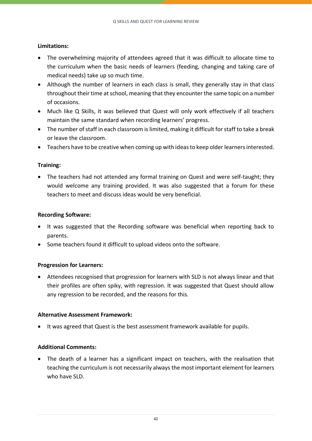#### **Limitations:**

- The overwhelming majority of attendees agreed that it was difficult to allocate time to the curriculum when the basic needs of learners (feeding, changing and taking care of medical needs) take up so much time.
- Although the number of learners in each class is small, they generally stay in that class throughout their time at school, meaning that they encounter the same topic on a number of occasions.
- Much like Q Skills, it was believed that Quest will only work effectively if all teachers maintain the same standard when recording learners' progress.
- The number of staff in each classroom is limited, making it difficult for staff to take a break or leave the classroom.
- Teachers have to be creative when coming up with ideas to keep older learners interested.

#### **Training:**

• The teachers had not attended any formal training on Quest and were self-taught; they would welcome any training provided. It was also suggested that a forum for these teachers to meet and discuss ideas would be very beneficial.

#### **Recording Software:**

- It was suggested that the Recording software was beneficial when reporting back to parents.
- Some teachers found it difficult to upload videos onto the software.

#### **Progression for Learners:**

• Attendees recognised that progression for learners with SLD is not always linear and that their profiles are often spiky, with regression. It was suggested that Quest should allow any regression to be recorded, and the reasons for this.

#### **Alternative Assessment Framework:**

• It was agreed that Quest is the best assessment framework available for pupils.

#### **Additional Comments:**

• The death of a learner has a significant impact on teachers, with the realisation that teaching the curriculum is not necessarily always the most important element for learners who have SLD.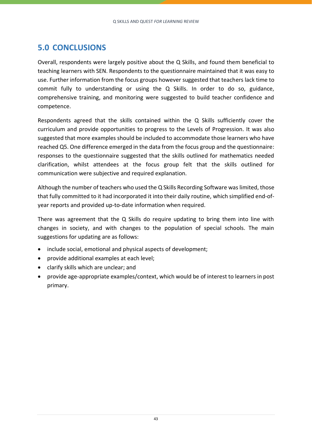### <span id="page-44-0"></span>**5.0 CONCLUSIONS**

Overall, respondents were largely positive about the Q Skills, and found them beneficial to teaching learners with SEN. Respondents to the questionnaire maintained that it was easy to use. Further information from the focus groups however suggested that teachers lack time to commit fully to understanding or using the Q Skills. In order to do so, guidance, comprehensive training, and monitoring were suggested to build teacher confidence and competence.

Respondents agreed that the skills contained within the Q Skills sufficiently cover the curriculum and provide opportunities to progress to the Levels of Progression. It was also suggested that more examples should be included to accommodate those learners who have reached Q5. One difference emerged in the data from the focus group and the questionnaire: responses to the questionnaire suggested that the skills outlined for mathematics needed clarification, whilst attendees at the focus group felt that the skills outlined for communication were subjective and required explanation.

Although the number of teachers who used the Q Skills Recording Software was limited, those that fully committed to it had incorporated it into their daily routine, which simplified end-ofyear reports and provided up-to-date information when required.

There was agreement that the Q Skills do require updating to bring them into line with changes in society, and with changes to the population of special schools. The main suggestions for updating are as follows:

- include social, emotional and physical aspects of development;
- provide additional examples at each level;
- clarify skills which are unclear; and
- provide age-appropriate examples/context, which would be of interest to learners in post primary.